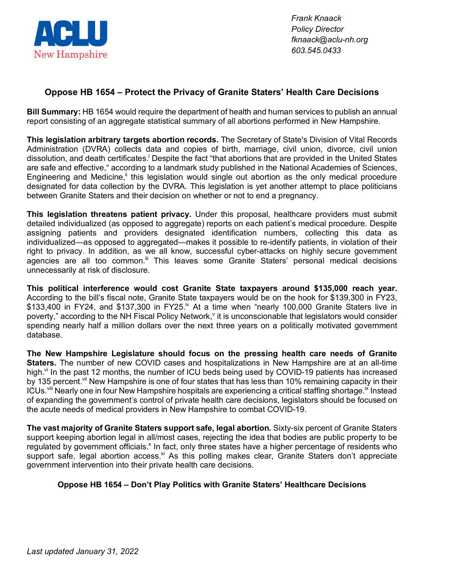

*Frank Knaack Policy Director fknaack@aclu-nh.org 603.545.0433*

## **Oppose HB 1654 – Protect the Privacy of Granite Staters' Health Care Decisions**

**Bill Summary:** HB 1654 would require the department of health and human services to publish an annual report consisting of an aggregate statistical summary of all abortions performed in New Hampshire.

**This legislation arbitrary targets abortion records.** The Secretary of State's Division of Vital Records Administration (DVRA) collects data and copies of birth, marriage, civil union, divorce, civil union dissolution, and death certificates.<sup>i</sup> Despite the fact "that abortions that are provided in the United States are safe and effective," according to a landmark study published in the National Academies of Sciences, Engineering and Medicine,<sup>it</sup> this legislation would single out abortion as the only medical procedure designated for data collection by the DVRA. This legislation is yet another attempt to place politicians between Granite Staters and their decision on whether or not to end a pregnancy.

**This legislation threatens patient privacy.** Under this proposal, healthcare providers must submit detailed individualized (as opposed to aggregate) reports on each patient's medical procedure. Despite assigning patients and providers designated identification numbers, collecting this data as individualized—as opposed to aggregated—makes it possible to re-identify patients, in violation of their right to privacy. In addition, as we all know, successful cyber-attacks on highly secure government agencies are all too common.<sup>III</sup> This leaves some Granite Staters' personal medical decisions unnecessarily at risk of disclosure.

**This political interference would cost Granite State taxpayers around \$135,000 reach year.** According to the bill's fiscal note, Granite State taxpayers would be on the hook for \$139,300 in FY23,  $$133,400$  in FY24, and  $$137,300$  in FY25.<sup>iv</sup> At a time when "nearly 100,000 Granite Staters live in poverty," according to the NH Fiscal Policy Network, $\theta$  it is unconscionable that legislators would consider spending nearly half a million dollars over the next three years on a politically motivated government database.

**The New Hampshire Legislature should focus on the pressing health care needs of Granite Staters.** The number of new COVID cases and hospitalizations in New Hampshire are at an all-time high.<sup>vi</sup> In the past 12 months, the number of ICU beds being used by COVID-19 patients has increased by 135 percent.<sup>vii</sup> New Hampshire is one of four states that has less than 10% remaining capacity in their ICUs.<sup>viii</sup> Nearly one in four New Hampshire hospitals are experiencing a critical staffing shortage.<sup>ix</sup> Instead of expanding the government's control of private health care decisions, legislators should be focused on the acute needs of medical providers in New Hampshire to combat COVID-19.

**The vast majority of Granite Staters support safe, legal abortion.** Sixty-six percent of Granite Staters support keeping abortion legal in all/most cases, rejecting the idea that bodies are public property to be regulated by government officials.<sup>x</sup> In fact, only three states have a higher percentage of residents who support safe, legal abortion access.<sup>xi</sup> As this polling makes clear, Granite Staters don't appreciate government intervention into their private health care decisions.

## **Oppose HB 1654 – Don't Play Politics with Granite Staters' Healthcare Decisions**